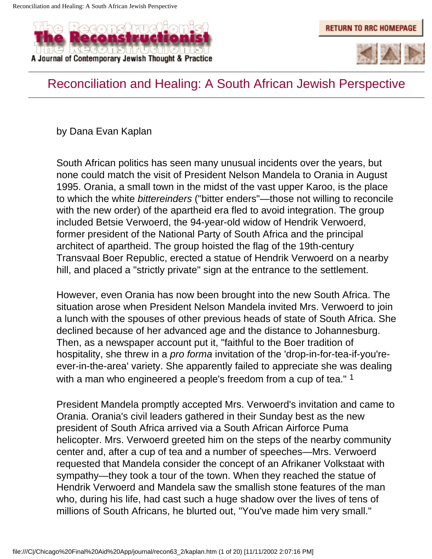



#### Reconciliation and Healing: A South African Jewish Perspective

by Dana Evan Kaplan

South African politics has seen many unusual incidents over the years, but none could match the visit of President Nelson Mandela to Orania in August 1995. Orania, a small town in the midst of the vast upper Karoo, is the place to which the white *bittereinders* ("bitter enders"—those not willing to reconcile with the new order) of the apartheid era fled to avoid integration. The group included Betsie Verwoerd, the 94-year-old widow of Hendrik Verwoerd, former president of the National Party of South Africa and the principal architect of apartheid. The group hoisted the flag of the 19th-century Transvaal Boer Republic, erected a statue of Hendrik Verwoerd on a nearby hill, and placed a "strictly private" sign at the entrance to the settlement.

However, even Orania has now been brought into the new South Africa. The situation arose when President Nelson Mandela invited Mrs. Verwoerd to join a lunch with the spouses of other previous heads of state of South Africa. She declined because of her advanced age and the distance to Johannesburg. Then, as a newspaper account put it, "faithful to the Boer tradition of hospitality, she threw in a *pro forma* invitation of the 'drop-in-for-tea-if-you'reever-in-the-area' variety. She apparently failed to appreciate she was dealing with a man who engineered a people's freedom from a cup of tea." 1

President Mandela promptly accepted Mrs. Verwoerd's invitation and came to Orania. Orania's civil leaders gathered in their Sunday best as the new president of South Africa arrived via a South African Airforce Puma helicopter. Mrs. Verwoerd greeted him on the steps of the nearby community center and, after a cup of tea and a number of speeches—Mrs. Verwoerd requested that Mandela consider the concept of an Afrikaner Volkstaat with sympathy—they took a tour of the town. When they reached the statue of Hendrik Verwoerd and Mandela saw the smallish stone features of the man who, during his life, had cast such a huge shadow over the lives of tens of millions of South Africans, he blurted out, "You've made him very small."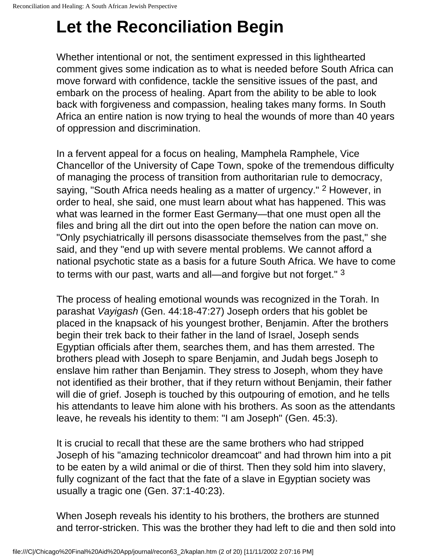### **Let the Reconciliation Begin**

Whether intentional or not, the sentiment expressed in this lighthearted comment gives some indication as to what is needed before South Africa can move forward with confidence, tackle the sensitive issues of the past, and embark on the process of healing. Apart from the ability to be able to look back with forgiveness and compassion, healing takes many forms. In South Africa an entire nation is now trying to heal the wounds of more than 40 years of oppression and discrimination.

In a fervent appeal for a focus on healing, Mamphela Ramphele, Vice Chancellor of the University of Cape Town, spoke of the tremendous difficulty of managing the process of transition from authoritarian rule to democracy, saying, "South Africa needs healing as a matter of urgency." 2 However, in order to heal, she said, one must learn about what has happened. This was what was learned in the former East Germany—that one must open all the files and bring all the dirt out into the open before the nation can move on. "Only psychiatrically ill persons disassociate themselves from the past," she said, and they "end up with severe mental problems. We cannot afford a national psychotic state as a basis for a future South Africa. We have to come to terms with our past, warts and all—and forgive but not forget." 3

The process of healing emotional wounds was recognized in the Torah. In parashat *Vayigash* (Gen. 44:18-47:27) Joseph orders that his goblet be placed in the knapsack of his youngest brother, Benjamin. After the brothers begin their trek back to their father in the land of Israel, Joseph sends Egyptian officials after them, searches them, and has them arrested. The brothers plead with Joseph to spare Benjamin, and Judah begs Joseph to enslave him rather than Benjamin. They stress to Joseph, whom they have not identified as their brother, that if they return without Benjamin, their father will die of grief. Joseph is touched by this outpouring of emotion, and he tells his attendants to leave him alone with his brothers. As soon as the attendants leave, he reveals his identity to them: "I am Joseph" (Gen. 45:3).

It is crucial to recall that these are the same brothers who had stripped Joseph of his "amazing technicolor dreamcoat" and had thrown him into a pit to be eaten by a wild animal or die of thirst. Then they sold him into slavery, fully cognizant of the fact that the fate of a slave in Egyptian society was usually a tragic one (Gen. 37:1-40:23).

When Joseph reveals his identity to his brothers, the brothers are stunned and terror-stricken. This was the brother they had left to die and then sold into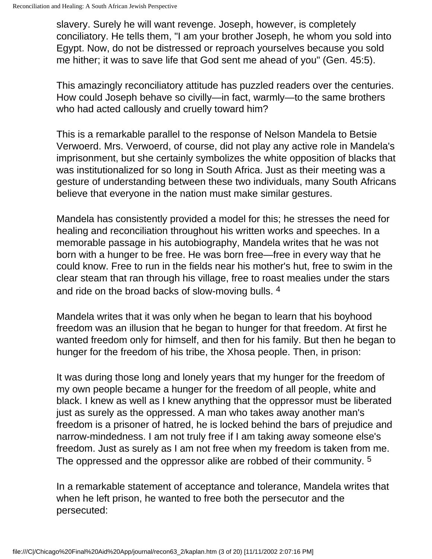slavery. Surely he will want revenge. Joseph, however, is completely conciliatory. He tells them, "I am your brother Joseph, he whom you sold into Egypt. Now, do not be distressed or reproach yourselves because you sold me hither; it was to save life that God sent me ahead of you" (Gen. 45:5).

This amazingly reconciliatory attitude has puzzled readers over the centuries. How could Joseph behave so civilly—in fact, warmly—to the same brothers who had acted callously and cruelly toward him?

This is a remarkable parallel to the response of Nelson Mandela to Betsie Verwoerd. Mrs. Verwoerd, of course, did not play any active role in Mandela's imprisonment, but she certainly symbolizes the white opposition of blacks that was institutionalized for so long in South Africa. Just as their meeting was a gesture of understanding between these two individuals, many South Africans believe that everyone in the nation must make similar gestures.

Mandela has consistently provided a model for this; he stresses the need for healing and reconciliation throughout his written works and speeches. In a memorable passage in his autobiography, Mandela writes that he was not born with a hunger to be free. He was born free—free in every way that he could know. Free to run in the fields near his mother's hut, free to swim in the clear steam that ran through his village, free to roast mealies under the stars and ride on the broad backs of slow-moving bulls. 4

Mandela writes that it was only when he began to learn that his boyhood freedom was an illusion that he began to hunger for that freedom. At first he wanted freedom only for himself, and then for his family. But then he began to hunger for the freedom of his tribe, the Xhosa people. Then, in prison:

It was during those long and lonely years that my hunger for the freedom of my own people became a hunger for the freedom of all people, white and black. I knew as well as I knew anything that the oppressor must be liberated just as surely as the oppressed. A man who takes away another man's freedom is a prisoner of hatred, he is locked behind the bars of prejudice and narrow-mindedness. I am not truly free if I am taking away someone else's freedom. Just as surely as I am not free when my freedom is taken from me. The oppressed and the oppressor alike are robbed of their community. <sup>5</sup>

In a remarkable statement of acceptance and tolerance, Mandela writes that when he left prison, he wanted to free both the persecutor and the persecuted: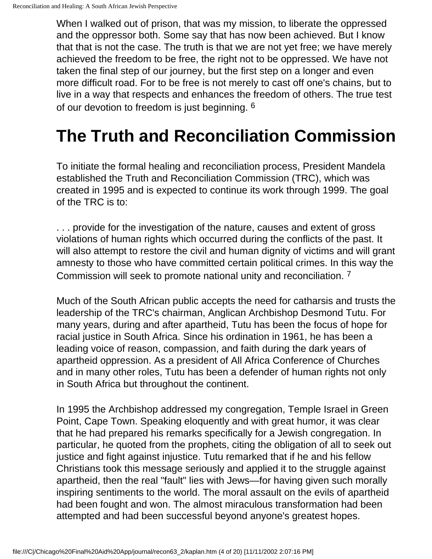When I walked out of prison, that was my mission, to liberate the oppressed and the oppressor both. Some say that has now been achieved. But I know that that is not the case. The truth is that we are not yet free; we have merely achieved the freedom to be free, the right not to be oppressed. We have not taken the final step of our journey, but the first step on a longer and even more difficult road. For to be free is not merely to cast off one's chains, but to live in a way that respects and enhances the freedom of others. The true test of our devotion to freedom is just beginning. 6

# **The Truth and Reconciliation Commission**

To initiate the formal healing and reconciliation process, President Mandela established the Truth and Reconciliation Commission (TRC), which was created in 1995 and is expected to continue its work through 1999. The goal of the TRC is to:

. . . provide for the investigation of the nature, causes and extent of gross violations of human rights which occurred during the conflicts of the past. It will also attempt to restore the civil and human dignity of victims and will grant amnesty to those who have committed certain political crimes. In this way the Commission will seek to promote national unity and reconciliation. 7

Much of the South African public accepts the need for catharsis and trusts the leadership of the TRC's chairman, Anglican Archbishop Desmond Tutu. For many years, during and after apartheid, Tutu has been the focus of hope for racial justice in South Africa. Since his ordination in 1961, he has been a leading voice of reason, compassion, and faith during the dark years of apartheid oppression. As a president of All Africa Conference of Churches and in many other roles, Tutu has been a defender of human rights not only in South Africa but throughout the continent.

In 1995 the Archbishop addressed my congregation, Temple Israel in Green Point, Cape Town. Speaking eloquently and with great humor, it was clear that he had prepared his remarks specifically for a Jewish congregation. In particular, he quoted from the prophets, citing the obligation of all to seek out justice and fight against injustice. Tutu remarked that if he and his fellow Christians took this message seriously and applied it to the struggle against apartheid, then the real "fault" lies with Jews—for having given such morally inspiring sentiments to the world. The moral assault on the evils of apartheid had been fought and won. The almost miraculous transformation had been attempted and had been successful beyond anyone's greatest hopes.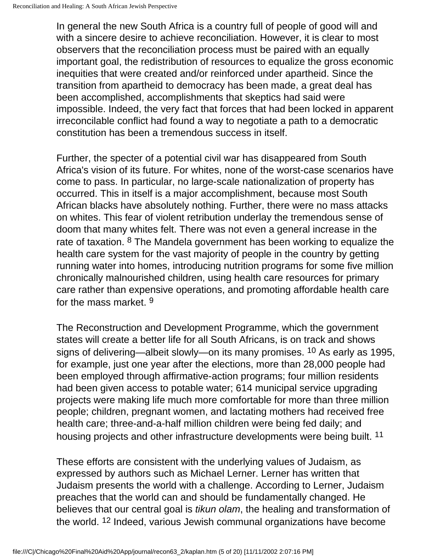In general the new South Africa is a country full of people of good will and with a sincere desire to achieve reconciliation. However, it is clear to most observers that the reconciliation process must be paired with an equally important goal, the redistribution of resources to equalize the gross economic inequities that were created and/or reinforced under apartheid. Since the transition from apartheid to democracy has been made, a great deal has been accomplished, accomplishments that skeptics had said were impossible. Indeed, the very fact that forces that had been locked in apparent irreconcilable conflict had found a way to negotiate a path to a democratic constitution has been a tremendous success in itself.

Further, the specter of a potential civil war has disappeared from South Africa's vision of its future. For whites, none of the worst-case scenarios have come to pass. In particular, no large-scale nationalization of property has occurred. This in itself is a major accomplishment, because most South African blacks have absolutely nothing. Further, there were no mass attacks on whites. This fear of violent retribution underlay the tremendous sense of doom that many whites felt. There was not even a general increase in the rate of taxation. 8 The Mandela government has been working to equalize the health care system for the vast majority of people in the country by getting running water into homes, introducing nutrition programs for some five million chronically malnourished children, using health care resources for primary care rather than expensive operations, and promoting affordable health care for the mass market. 9

The Reconstruction and Development Programme, which the government states will create a better life for all South Africans, is on track and shows signs of delivering—albeit slowly—on its many promises. 10 As early as 1995, for example, just one year after the elections, more than 28,000 people had been employed through affirmative-action programs; four million residents had been given access to potable water; 614 municipal service upgrading projects were making life much more comfortable for more than three million people; children, pregnant women, and lactating mothers had received free health care; three-and-a-half million children were being fed daily; and housing projects and other infrastructure developments were being built. 11

These efforts are consistent with the underlying values of Judaism, as expressed by authors such as Michael Lerner. Lerner has written that Judaism presents the world with a challenge. According to Lerner, Judaism preaches that the world can and should be fundamentally changed. He believes that our central goal is *tikun olam*, the healing and transformation of the world. 12 Indeed, various Jewish communal organizations have become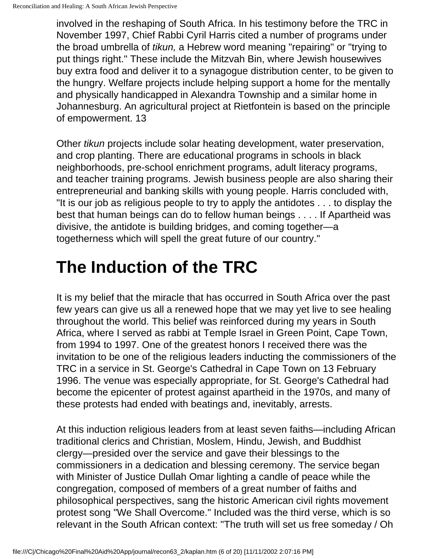involved in the reshaping of South Africa. In his testimony before the TRC in November 1997, Chief Rabbi Cyril Harris cited a number of programs under the broad umbrella of *tikun,* a Hebrew word meaning "repairing" or "trying to put things right." These include the Mitzvah Bin, where Jewish housewives buy extra food and deliver it to a synagogue distribution center, to be given to the hungry. Welfare projects include helping support a home for the mentally and physically handicapped in Alexandra Township and a similar home in Johannesburg. An agricultural project at Rietfontein is based on the principle of empowerment. 13

Other *tikun* projects include solar heating development, water preservation, and crop planting. There are educational programs in schools in black neighborhoods, pre-school enrichment programs, adult literacy programs, and teacher training programs. Jewish business people are also sharing their entrepreneurial and banking skills with young people. Harris concluded with, "It is our job as religious people to try to apply the antidotes . . . to display the best that human beings can do to fellow human beings . . . . If Apartheid was divisive, the antidote is building bridges, and coming together—a togetherness which will spell the great future of our country."

## **The Induction of the TRC**

It is my belief that the miracle that has occurred in South Africa over the past few years can give us all a renewed hope that we may yet live to see healing throughout the world. This belief was reinforced during my years in South Africa, where I served as rabbi at Temple Israel in Green Point, Cape Town, from 1994 to 1997. One of the greatest honors I received there was the invitation to be one of the religious leaders inducting the commissioners of the TRC in a service in St. George's Cathedral in Cape Town on 13 February 1996. The venue was especially appropriate, for St. George's Cathedral had become the epicenter of protest against apartheid in the 1970s, and many of these protests had ended with beatings and, inevitably, arrests.

At this induction religious leaders from at least seven faiths—including African traditional clerics and Christian, Moslem, Hindu, Jewish, and Buddhist clergy—presided over the service and gave their blessings to the commissioners in a dedication and blessing ceremony. The service began with Minister of Justice Dullah Omar lighting a candle of peace while the congregation, composed of members of a great number of faiths and philosophical perspectives, sang the historic American civil rights movement protest song "We Shall Overcome." Included was the third verse, which is so relevant in the South African context: "The truth will set us free someday / Oh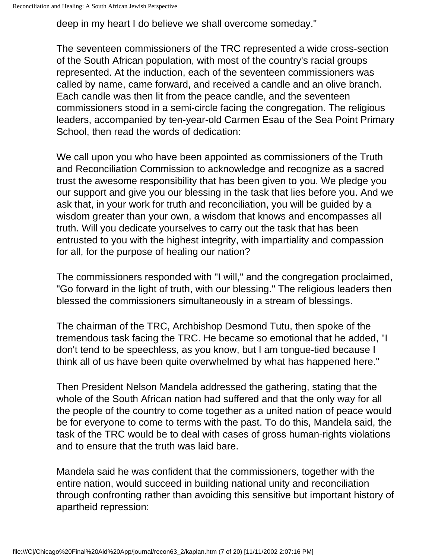deep in my heart I do believe we shall overcome someday."

The seventeen commissioners of the TRC represented a wide cross-section of the South African population, with most of the country's racial groups represented. At the induction, each of the seventeen commissioners was called by name, came forward, and received a candle and an olive branch. Each candle was then lit from the peace candle, and the seventeen commissioners stood in a semi-circle facing the congregation. The religious leaders, accompanied by ten-year-old Carmen Esau of the Sea Point Primary School, then read the words of dedication:

We call upon you who have been appointed as commissioners of the Truth and Reconciliation Commission to acknowledge and recognize as a sacred trust the awesome responsibility that has been given to you. We pledge you our support and give you our blessing in the task that lies before you. And we ask that, in your work for truth and reconciliation, you will be guided by a wisdom greater than your own, a wisdom that knows and encompasses all truth. Will you dedicate yourselves to carry out the task that has been entrusted to you with the highest integrity, with impartiality and compassion for all, for the purpose of healing our nation?

The commissioners responded with "I will," and the congregation proclaimed, "Go forward in the light of truth, with our blessing." The religious leaders then blessed the commissioners simultaneously in a stream of blessings.

The chairman of the TRC, Archbishop Desmond Tutu, then spoke of the tremendous task facing the TRC. He became so emotional that he added, "I don't tend to be speechless, as you know, but I am tongue-tied because I think all of us have been quite overwhelmed by what has happened here."

Then President Nelson Mandela addressed the gathering, stating that the whole of the South African nation had suffered and that the only way for all the people of the country to come together as a united nation of peace would be for everyone to come to terms with the past. To do this, Mandela said, the task of the TRC would be to deal with cases of gross human-rights violations and to ensure that the truth was laid bare.

Mandela said he was confident that the commissioners, together with the entire nation, would succeed in building national unity and reconciliation through confronting rather than avoiding this sensitive but important history of apartheid repression: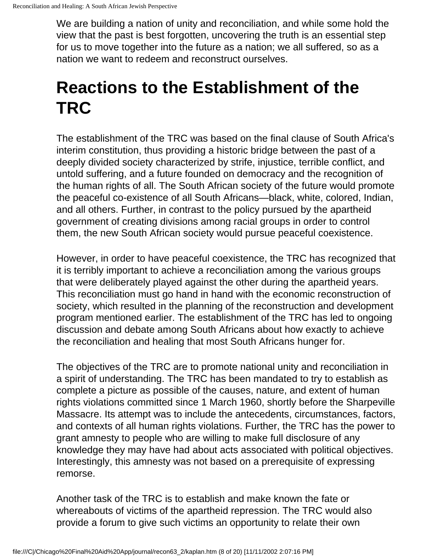We are building a nation of unity and reconciliation, and while some hold the view that the past is best forgotten, uncovering the truth is an essential step for us to move together into the future as a nation; we all suffered, so as a nation we want to redeem and reconstruct ourselves.

## **Reactions to the Establishment of the TRC**

The establishment of the TRC was based on the final clause of South Africa's interim constitution, thus providing a historic bridge between the past of a deeply divided society characterized by strife, injustice, terrible conflict, and untold suffering, and a future founded on democracy and the recognition of the human rights of all. The South African society of the future would promote the peaceful co-existence of all South Africans—black, white, colored, Indian, and all others. Further, in contrast to the policy pursued by the apartheid government of creating divisions among racial groups in order to control them, the new South African society would pursue peaceful coexistence.

However, in order to have peaceful coexistence, the TRC has recognized that it is terribly important to achieve a reconciliation among the various groups that were deliberately played against the other during the apartheid years. This reconciliation must go hand in hand with the economic reconstruction of society, which resulted in the planning of the reconstruction and development program mentioned earlier. The establishment of the TRC has led to ongoing discussion and debate among South Africans about how exactly to achieve the reconciliation and healing that most South Africans hunger for.

The objectives of the TRC are to promote national unity and reconciliation in a spirit of understanding. The TRC has been mandated to try to establish as complete a picture as possible of the causes, nature, and extent of human rights violations committed since 1 March 1960, shortly before the Sharpeville Massacre. Its attempt was to include the antecedents, circumstances, factors, and contexts of all human rights violations. Further, the TRC has the power to grant amnesty to people who are willing to make full disclosure of any knowledge they may have had about acts associated with political objectives. Interestingly, this amnesty was not based on a prerequisite of expressing remorse.

Another task of the TRC is to establish and make known the fate or whereabouts of victims of the apartheid repression. The TRC would also provide a forum to give such victims an opportunity to relate their own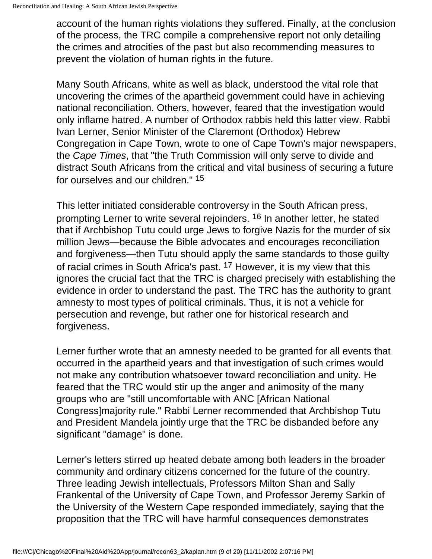account of the human rights violations they suffered. Finally, at the conclusion of the process, the TRC compile a comprehensive report not only detailing the crimes and atrocities of the past but also recommending measures to prevent the violation of human rights in the future.

Many South Africans, white as well as black, understood the vital role that uncovering the crimes of the apartheid government could have in achieving national reconciliation. Others, however, feared that the investigation would only inflame hatred. A number of Orthodox rabbis held this latter view. Rabbi Ivan Lerner, Senior Minister of the Claremont (Orthodox) Hebrew Congregation in Cape Town, wrote to one of Cape Town's major newspapers, the *Cape Times*, that "the Truth Commission will only serve to divide and distract South Africans from the critical and vital business of securing a future for ourselves and our children." 15

This letter initiated considerable controversy in the South African press, prompting Lerner to write several rejoinders. 16 In another letter, he stated that if Archbishop Tutu could urge Jews to forgive Nazis for the murder of six million Jews—because the Bible advocates and encourages reconciliation and forgiveness—then Tutu should apply the same standards to those guilty of racial crimes in South Africa's past. 17 However, it is my view that this ignores the crucial fact that the TRC is charged precisely with establishing the evidence in order to understand the past. The TRC has the authority to grant amnesty to most types of political criminals. Thus, it is not a vehicle for persecution and revenge, but rather one for historical research and forgiveness.

Lerner further wrote that an amnesty needed to be granted for all events that occurred in the apartheid years and that investigation of such crimes would not make any contribution whatsoever toward reconciliation and unity. He feared that the TRC would stir up the anger and animosity of the many groups who are "still uncomfortable with ANC [African National Congress]majority rule." Rabbi Lerner recommended that Archbishop Tutu and President Mandela jointly urge that the TRC be disbanded before any significant "damage" is done.

Lerner's letters stirred up heated debate among both leaders in the broader community and ordinary citizens concerned for the future of the country. Three leading Jewish intellectuals, Professors Milton Shan and Sally Frankental of the University of Cape Town, and Professor Jeremy Sarkin of the University of the Western Cape responded immediately, saying that the proposition that the TRC will have harmful consequences demonstrates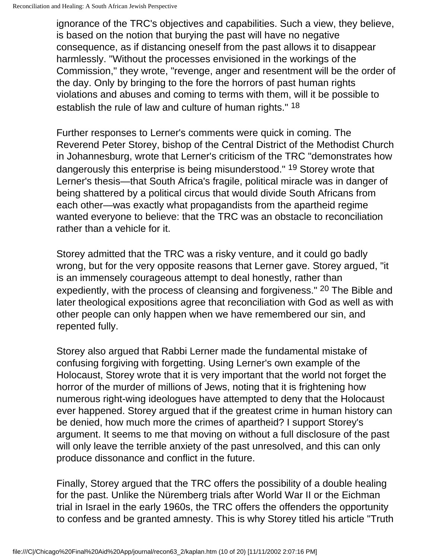ignorance of the TRC's objectives and capabilities. Such a view, they believe, is based on the notion that burying the past will have no negative consequence, as if distancing oneself from the past allows it to disappear harmlessly. "Without the processes envisioned in the workings of the Commission," they wrote, "revenge, anger and resentment will be the order of the day. Only by bringing to the fore the horrors of past human rights violations and abuses and coming to terms with them, will it be possible to establish the rule of law and culture of human rights." 18

Further responses to Lerner's comments were quick in coming. The Reverend Peter Storey, bishop of the Central District of the Methodist Church in Johannesburg, wrote that Lerner's criticism of the TRC "demonstrates how dangerously this enterprise is being misunderstood." 19 Storey wrote that Lerner's thesis—that South Africa's fragile, political miracle was in danger of being shattered by a political circus that would divide South Africans from each other—was exactly what propagandists from the apartheid regime wanted everyone to believe: that the TRC was an obstacle to reconciliation rather than a vehicle for it.

Storey admitted that the TRC was a risky venture, and it could go badly wrong, but for the very opposite reasons that Lerner gave. Storey argued, "it is an immensely courageous attempt to deal honestly, rather than expediently, with the process of cleansing and forgiveness." 20 The Bible and later theological expositions agree that reconciliation with God as well as with other people can only happen when we have remembered our sin, and repented fully.

Storey also argued that Rabbi Lerner made the fundamental mistake of confusing forgiving with forgetting. Using Lerner's own example of the Holocaust, Storey wrote that it is very important that the world not forget the horror of the murder of millions of Jews, noting that it is frightening how numerous right-wing ideologues have attempted to deny that the Holocaust ever happened. Storey argued that if the greatest crime in human history can be denied, how much more the crimes of apartheid? I support Storey's argument. It seems to me that moving on without a full disclosure of the past will only leave the terrible anxiety of the past unresolved, and this can only produce dissonance and conflict in the future.

Finally, Storey argued that the TRC offers the possibility of a double healing for the past. Unlike the Nüremberg trials after World War II or the Eichman trial in Israel in the early 1960s, the TRC offers the offenders the opportunity to confess and be granted amnesty. This is why Storey titled his article "Truth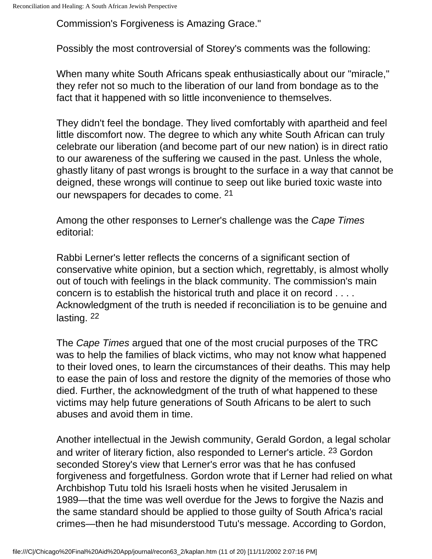Commission's Forgiveness is Amazing Grace."

Possibly the most controversial of Storey's comments was the following:

When many white South Africans speak enthusiastically about our "miracle," they refer not so much to the liberation of our land from bondage as to the fact that it happened with so little inconvenience to themselves.

They didn't feel the bondage. They lived comfortably with apartheid and feel little discomfort now. The degree to which any white South African can truly celebrate our liberation (and become part of our new nation) is in direct ratio to our awareness of the suffering we caused in the past. Unless the whole, ghastly litany of past wrongs is brought to the surface in a way that cannot be deigned, these wrongs will continue to seep out like buried toxic waste into our newspapers for decades to come. 21

Among the other responses to Lerner's challenge was the *Cape Times* editorial:

Rabbi Lerner's letter reflects the concerns of a significant section of conservative white opinion, but a section which, regrettably, is almost wholly out of touch with feelings in the black community. The commission's main concern is to establish the historical truth and place it on record . . . . Acknowledgment of the truth is needed if reconciliation is to be genuine and lasting. 22

The *Cape Times* argued that one of the most crucial purposes of the TRC was to help the families of black victims, who may not know what happened to their loved ones, to learn the circumstances of their deaths. This may help to ease the pain of loss and restore the dignity of the memories of those who died. Further, the acknowledgment of the truth of what happened to these victims may help future generations of South Africans to be alert to such abuses and avoid them in time.

Another intellectual in the Jewish community, Gerald Gordon, a legal scholar and writer of literary fiction, also responded to Lerner's article. 23 Gordon seconded Storey's view that Lerner's error was that he has confused forgiveness and forgetfulness. Gordon wrote that if Lerner had relied on what Archbishop Tutu told his Israeli hosts when he visited Jerusalem in 1989—that the time was well overdue for the Jews to forgive the Nazis and the same standard should be applied to those guilty of South Africa's racial crimes—then he had misunderstood Tutu's message. According to Gordon,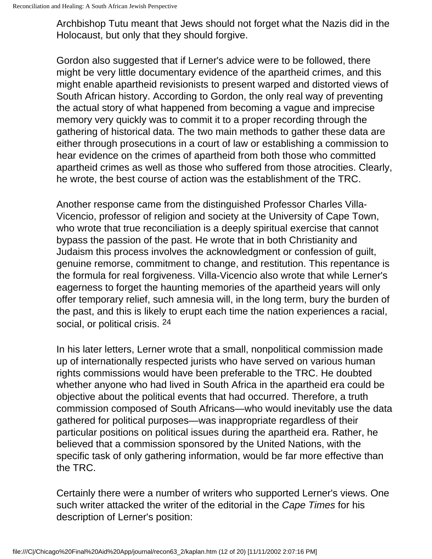Archbishop Tutu meant that Jews should not forget what the Nazis did in the Holocaust, but only that they should forgive.

Gordon also suggested that if Lerner's advice were to be followed, there might be very little documentary evidence of the apartheid crimes, and this might enable apartheid revisionists to present warped and distorted views of South African history. According to Gordon, the only real way of preventing the actual story of what happened from becoming a vague and imprecise memory very quickly was to commit it to a proper recording through the gathering of historical data. The two main methods to gather these data are either through prosecutions in a court of law or establishing a commission to hear evidence on the crimes of apartheid from both those who committed apartheid crimes as well as those who suffered from those atrocities. Clearly, he wrote, the best course of action was the establishment of the TRC.

Another response came from the distinguished Professor Charles Villa-Vicencio, professor of religion and society at the University of Cape Town, who wrote that true reconciliation is a deeply spiritual exercise that cannot bypass the passion of the past. He wrote that in both Christianity and Judaism this process involves the acknowledgment or confession of guilt, genuine remorse, commitment to change, and restitution. This repentance is the formula for real forgiveness. Villa-Vicencio also wrote that while Lerner's eagerness to forget the haunting memories of the apartheid years will only offer temporary relief, such amnesia will, in the long term, bury the burden of the past, and this is likely to erupt each time the nation experiences a racial, social, or political crisis. 24

In his later letters, Lerner wrote that a small, nonpolitical commission made up of internationally respected jurists who have served on various human rights commissions would have been preferable to the TRC. He doubted whether anyone who had lived in South Africa in the apartheid era could be objective about the political events that had occurred. Therefore, a truth commission composed of South Africans—who would inevitably use the data gathered for political purposes—was inappropriate regardless of their particular positions on political issues during the apartheid era. Rather, he believed that a commission sponsored by the United Nations, with the specific task of only gathering information, would be far more effective than the TRC.

Certainly there were a number of writers who supported Lerner's views. One such writer attacked the writer of the editorial in the *Cape Times* for his description of Lerner's position: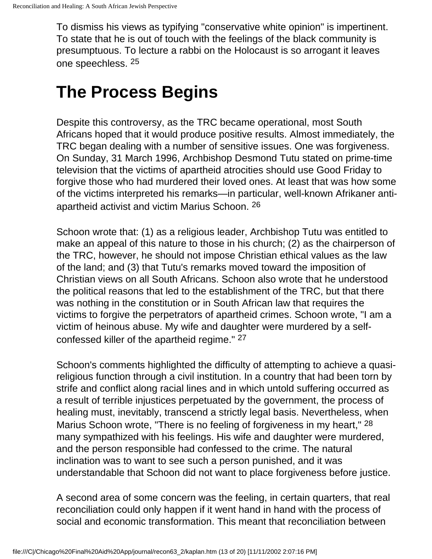To dismiss his views as typifying "conservative white opinion" is impertinent. To state that he is out of touch with the feelings of the black community is presumptuous. To lecture a rabbi on the Holocaust is so arrogant it leaves one speechless. 25

#### **The Process Begins**

Despite this controversy, as the TRC became operational, most South Africans hoped that it would produce positive results. Almost immediately, the TRC began dealing with a number of sensitive issues. One was forgiveness. On Sunday, 31 March 1996, Archbishop Desmond Tutu stated on prime-time television that the victims of apartheid atrocities should use Good Friday to forgive those who had murdered their loved ones. At least that was how some of the victims interpreted his remarks—in particular, well-known Afrikaner antiapartheid activist and victim Marius Schoon. 26

Schoon wrote that: (1) as a religious leader, Archbishop Tutu was entitled to make an appeal of this nature to those in his church; (2) as the chairperson of the TRC, however, he should not impose Christian ethical values as the law of the land; and (3) that Tutu's remarks moved toward the imposition of Christian views on all South Africans. Schoon also wrote that he understood the political reasons that led to the establishment of the TRC, but that there was nothing in the constitution or in South African law that requires the victims to forgive the perpetrators of apartheid crimes. Schoon wrote, "I am a victim of heinous abuse. My wife and daughter were murdered by a selfconfessed killer of the apartheid regime." 27

Schoon's comments highlighted the difficulty of attempting to achieve a quasireligious function through a civil institution. In a country that had been torn by strife and conflict along racial lines and in which untold suffering occurred as a result of terrible injustices perpetuated by the government, the process of healing must, inevitably, transcend a strictly legal basis. Nevertheless, when Marius Schoon wrote, "There is no feeling of forgiveness in my heart," 28 many sympathized with his feelings. His wife and daughter were murdered, and the person responsible had confessed to the crime. The natural inclination was to want to see such a person punished, and it was understandable that Schoon did not want to place forgiveness before justice.

A second area of some concern was the feeling, in certain quarters, that real reconciliation could only happen if it went hand in hand with the process of social and economic transformation. This meant that reconciliation between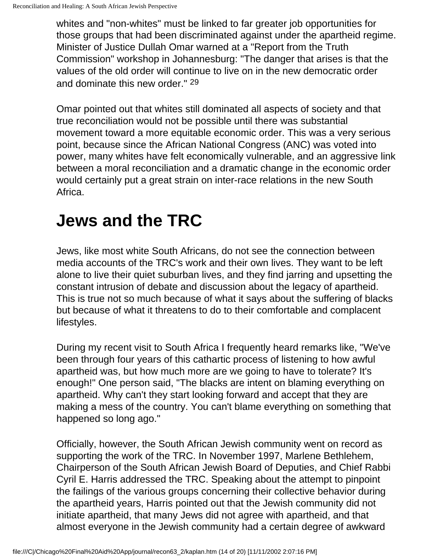whites and "non-whites" must be linked to far greater job opportunities for those groups that had been discriminated against under the apartheid regime. Minister of Justice Dullah Omar warned at a "Report from the Truth Commission" workshop in Johannesburg: "The danger that arises is that the values of the old order will continue to live on in the new democratic order and dominate this new order." 29

Omar pointed out that whites still dominated all aspects of society and that true reconciliation would not be possible until there was substantial movement toward a more equitable economic order. This was a very serious point, because since the African National Congress (ANC) was voted into power, many whites have felt economically vulnerable, and an aggressive link between a moral reconciliation and a dramatic change in the economic order would certainly put a great strain on inter-race relations in the new South Africa.

## **Jews and the TRC**

Jews, like most white South Africans, do not see the connection between media accounts of the TRC's work and their own lives. They want to be left alone to live their quiet suburban lives, and they find jarring and upsetting the constant intrusion of debate and discussion about the legacy of apartheid. This is true not so much because of what it says about the suffering of blacks but because of what it threatens to do to their comfortable and complacent lifestyles.

During my recent visit to South Africa I frequently heard remarks like, "We've been through four years of this cathartic process of listening to how awful apartheid was, but how much more are we going to have to tolerate? It's enough!" One person said, "The blacks are intent on blaming everything on apartheid. Why can't they start looking forward and accept that they are making a mess of the country. You can't blame everything on something that happened so long ago."

Officially, however, the South African Jewish community went on record as supporting the work of the TRC. In November 1997, Marlene Bethlehem, Chairperson of the South African Jewish Board of Deputies, and Chief Rabbi Cyril E. Harris addressed the TRC. Speaking about the attempt to pinpoint the failings of the various groups concerning their collective behavior during the apartheid years, Harris pointed out that the Jewish community did not initiate apartheid, that many Jews did not agree with apartheid, and that almost everyone in the Jewish community had a certain degree of awkward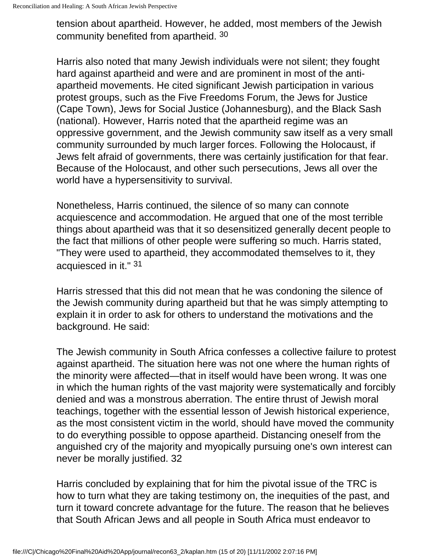tension about apartheid. However, he added, most members of the Jewish community benefited from apartheid. 30

Harris also noted that many Jewish individuals were not silent; they fought hard against apartheid and were and are prominent in most of the antiapartheid movements. He cited significant Jewish participation in various protest groups, such as the Five Freedoms Forum, the Jews for Justice (Cape Town), Jews for Social Justice (Johannesburg), and the Black Sash (national). However, Harris noted that the apartheid regime was an oppressive government, and the Jewish community saw itself as a very small community surrounded by much larger forces. Following the Holocaust, if Jews felt afraid of governments, there was certainly justification for that fear. Because of the Holocaust, and other such persecutions, Jews all over the world have a hypersensitivity to survival.

Nonetheless, Harris continued, the silence of so many can connote acquiescence and accommodation. He argued that one of the most terrible things about apartheid was that it so desensitized generally decent people to the fact that millions of other people were suffering so much. Harris stated, "They were used to apartheid, they accommodated themselves to it, they acquiesced in it." 31

Harris stressed that this did not mean that he was condoning the silence of the Jewish community during apartheid but that he was simply attempting to explain it in order to ask for others to understand the motivations and the background. He said:

The Jewish community in South Africa confesses a collective failure to protest against apartheid. The situation here was not one where the human rights of the minority were affected—that in itself would have been wrong. It was one in which the human rights of the vast majority were systematically and forcibly denied and was a monstrous aberration. The entire thrust of Jewish moral teachings, together with the essential lesson of Jewish historical experience, as the most consistent victim in the world, should have moved the community to do everything possible to oppose apartheid. Distancing oneself from the anguished cry of the majority and myopically pursuing one's own interest can never be morally justified. 32

Harris concluded by explaining that for him the pivotal issue of the TRC is how to turn what they are taking testimony on, the inequities of the past, and turn it toward concrete advantage for the future. The reason that he believes that South African Jews and all people in South Africa must endeavor to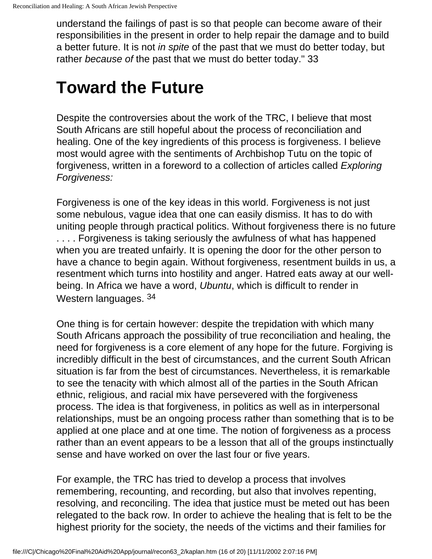understand the failings of past is so that people can become aware of their responsibilities in the present in order to help repair the damage and to build a better future. It is not *in spite* of the past that we must do better today, but rather *because of* the past that we must do better today." 33

#### **Toward the Future**

Despite the controversies about the work of the TRC, I believe that most South Africans are still hopeful about the process of reconciliation and healing. One of the key ingredients of this process is forgiveness. I believe most would agree with the sentiments of Archbishop Tutu on the topic of forgiveness, written in a foreword to a collection of articles called *Exploring Forgiveness:*

Forgiveness is one of the key ideas in this world. Forgiveness is not just some nebulous, vague idea that one can easily dismiss. It has to do with uniting people through practical politics. Without forgiveness there is no future .... Forgiveness is taking seriously the awfulness of what has happened when you are treated unfairly. It is opening the door for the other person to have a chance to begin again. Without forgiveness, resentment builds in us, a resentment which turns into hostility and anger. Hatred eats away at our wellbeing. In Africa we have a word, *Ubuntu*, which is difficult to render in Western languages. 34

One thing is for certain however: despite the trepidation with which many South Africans approach the possibility of true reconciliation and healing, the need for forgiveness is a core element of any hope for the future. Forgiving is incredibly difficult in the best of circumstances, and the current South African situation is far from the best of circumstances. Nevertheless, it is remarkable to see the tenacity with which almost all of the parties in the South African ethnic, religious, and racial mix have persevered with the forgiveness process. The idea is that forgiveness, in politics as well as in interpersonal relationships, must be an ongoing process rather than something that is to be applied at one place and at one time. The notion of forgiveness as a process rather than an event appears to be a lesson that all of the groups instinctually sense and have worked on over the last four or five years.

For example, the TRC has tried to develop a process that involves remembering, recounting, and recording, but also that involves repenting, resolving, and reconciling. The idea that justice must be meted out has been relegated to the back row. In order to achieve the healing that is felt to be the highest priority for the society, the needs of the victims and their families for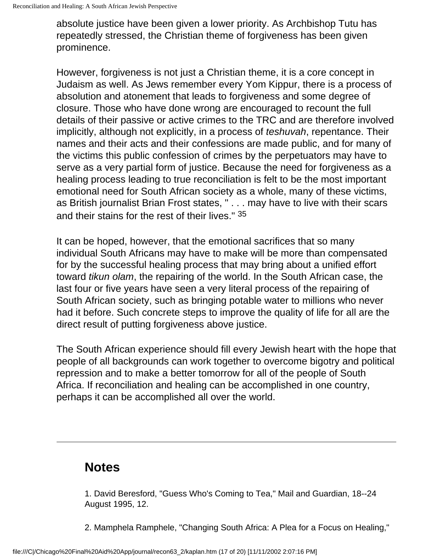absolute justice have been given a lower priority. As Archbishop Tutu has repeatedly stressed, the Christian theme of forgiveness has been given prominence.

However, forgiveness is not just a Christian theme, it is a core concept in Judaism as well. As Jews remember every Yom Kippur, there is a process of absolution and atonement that leads to forgiveness and some degree of closure. Those who have done wrong are encouraged to recount the full details of their passive or active crimes to the TRC and are therefore involved implicitly, although not explicitly, in a process of *teshuvah*, repentance. Their names and their acts and their confessions are made public, and for many of the victims this public confession of crimes by the perpetuators may have to serve as a very partial form of justice. Because the need for forgiveness as a healing process leading to true reconciliation is felt to be the most important emotional need for South African society as a whole, many of these victims, as British journalist Brian Frost states, " . . . may have to live with their scars and their stains for the rest of their lives." 35

It can be hoped, however, that the emotional sacrifices that so many individual South Africans may have to make will be more than compensated for by the successful healing process that may bring about a unified effort toward *tikun olam*, the repairing of the world. In the South African case, the last four or five years have seen a very literal process of the repairing of South African society, such as bringing potable water to millions who never had it before. Such concrete steps to improve the quality of life for all are the direct result of putting forgiveness above justice.

The South African experience should fill every Jewish heart with the hope that people of all backgrounds can work together to overcome bigotry and political repression and to make a better tomorrow for all of the people of South Africa. If reconciliation and healing can be accomplished in one country, perhaps it can be accomplished all over the world.

#### **Notes**

1. David Beresford, "Guess Who's Coming to Tea," Mail and Guardian, 18--24 August 1995, 12.

2. Mamphela Ramphele, "Changing South Africa: A Plea for a Focus on Healing,"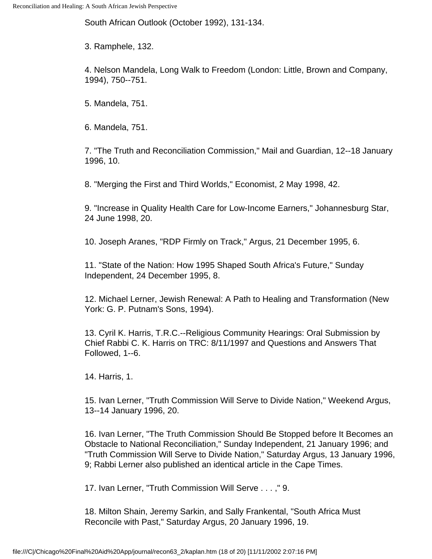South African Outlook (October 1992), 131-134.

3. Ramphele, 132.

4. Nelson Mandela, Long Walk to Freedom (London: Little, Brown and Company, 1994), 750--751.

5. Mandela, 751.

6. Mandela, 751.

7. "The Truth and Reconciliation Commission," Mail and Guardian, 12--18 January 1996, 10.

8. "Merging the First and Third Worlds," Economist, 2 May 1998, 42.

9. "Increase in Quality Health Care for Low-Income Earners," Johannesburg Star, 24 June 1998, 20.

10. Joseph Aranes, "RDP Firmly on Track," Argus, 21 December 1995, 6.

11. "State of the Nation: How 1995 Shaped South Africa's Future," Sunday Independent, 24 December 1995, 8.

12. Michael Lerner, Jewish Renewal: A Path to Healing and Transformation (New York: G. P. Putnam's Sons, 1994).

13. Cyril K. Harris, T.R.C.--Religious Community Hearings: Oral Submission by Chief Rabbi C. K. Harris on TRC: 8/11/1997 and Questions and Answers That Followed, 1--6.

14. Harris, 1.

15. Ivan Lerner, "Truth Commission Will Serve to Divide Nation," Weekend Argus, 13--14 January 1996, 20.

16. Ivan Lerner, "The Truth Commission Should Be Stopped before It Becomes an Obstacle to National Reconciliation," Sunday Independent, 21 January 1996; and "Truth Commission Will Serve to Divide Nation," Saturday Argus, 13 January 1996, 9; Rabbi Lerner also published an identical article in the Cape Times.

17. Ivan Lerner, "Truth Commission Will Serve . . . ," 9.

18. Milton Shain, Jeremy Sarkin, and Sally Frankental, "South Africa Must Reconcile with Past," Saturday Argus, 20 January 1996, 19.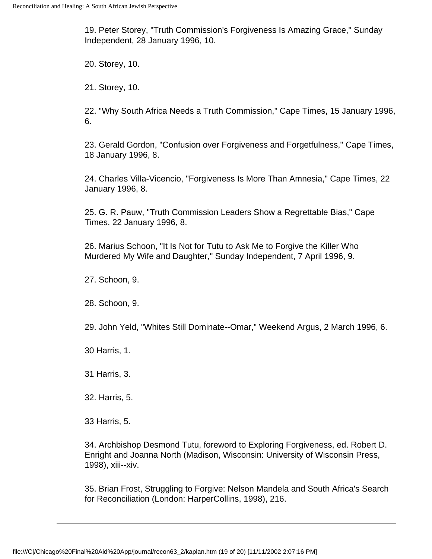19. Peter Storey, "Truth Commission's Forgiveness Is Amazing Grace," Sunday Independent, 28 January 1996, 10.

20. Storey, 10.

21. Storey, 10.

22. "Why South Africa Needs a Truth Commission," Cape Times, 15 January 1996, 6.

23. Gerald Gordon, "Confusion over Forgiveness and Forgetfulness," Cape Times, 18 January 1996, 8.

24. Charles Villa-Vicencio, "Forgiveness Is More Than Amnesia," Cape Times, 22 January 1996, 8.

25. G. R. Pauw, "Truth Commission Leaders Show a Regrettable Bias," Cape Times, 22 January 1996, 8.

26. Marius Schoon, "It Is Not for Tutu to Ask Me to Forgive the Killer Who Murdered My Wife and Daughter," Sunday Independent, 7 April 1996, 9.

27. Schoon, 9.

28. Schoon, 9.

29. John Yeld, "Whites Still Dominate--Omar," Weekend Argus, 2 March 1996, 6.

30 Harris, 1.

31 Harris, 3.

32. Harris, 5.

33 Harris, 5.

34. Archbishop Desmond Tutu, foreword to Exploring Forgiveness, ed. Robert D. Enright and Joanna North (Madison, Wisconsin: University of Wisconsin Press, 1998), xiii--xiv.

35. Brian Frost, Struggling to Forgive: Nelson Mandela and South Africa's Search for Reconciliation (London: HarperCollins, 1998), 216.